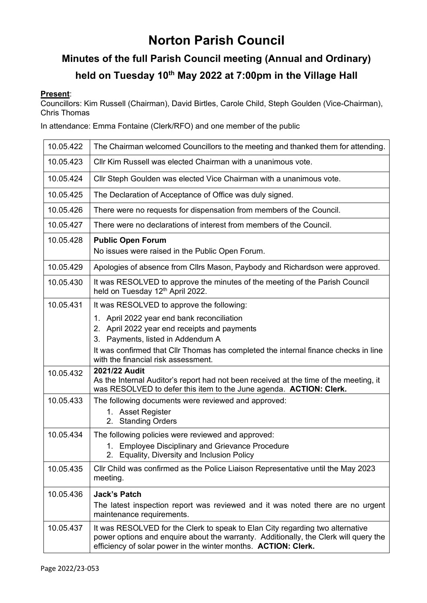# **Norton Parish Council**

## **Minutes of the full Parish Council meeting (Annual and Ordinary) held on Tuesday 10 th May 2022 at 7:00pm in the Village Hall**

#### **Present**:

Councillors: Kim Russell (Chairman), David Birtles, Carole Child, Steph Goulden (Vice-Chairman), Chris Thomas

In attendance: Emma Fontaine (Clerk/RFO) and one member of the public

| 10.05.422 | The Chairman welcomed Councillors to the meeting and thanked them for attending.                                                                                                                                                                              |  |  |  |  |
|-----------|---------------------------------------------------------------------------------------------------------------------------------------------------------------------------------------------------------------------------------------------------------------|--|--|--|--|
| 10.05.423 | Cllr Kim Russell was elected Chairman with a unanimous vote.                                                                                                                                                                                                  |  |  |  |  |
| 10.05.424 | Cllr Steph Goulden was elected Vice Chairman with a unanimous vote.                                                                                                                                                                                           |  |  |  |  |
| 10.05.425 | The Declaration of Acceptance of Office was duly signed.                                                                                                                                                                                                      |  |  |  |  |
| 10.05.426 | There were no requests for dispensation from members of the Council.                                                                                                                                                                                          |  |  |  |  |
| 10.05.427 | There were no declarations of interest from members of the Council.                                                                                                                                                                                           |  |  |  |  |
| 10.05.428 | <b>Public Open Forum</b><br>No issues were raised in the Public Open Forum.                                                                                                                                                                                   |  |  |  |  |
| 10.05.429 | Apologies of absence from Cllrs Mason, Paybody and Richardson were approved.                                                                                                                                                                                  |  |  |  |  |
| 10.05.430 | It was RESOLVED to approve the minutes of the meeting of the Parish Council<br>held on Tuesday 12 <sup>th</sup> April 2022.                                                                                                                                   |  |  |  |  |
| 10.05.431 | It was RESOLVED to approve the following:                                                                                                                                                                                                                     |  |  |  |  |
|           | 1. April 2022 year end bank reconciliation<br>2. April 2022 year end receipts and payments<br>3. Payments, listed in Addendum A<br>It was confirmed that CIIr Thomas has completed the internal finance checks in line<br>with the financial risk assessment. |  |  |  |  |
| 10.05.432 | 2021/22 Audit<br>As the Internal Auditor's report had not been received at the time of the meeting, it<br>was RESOLVED to defer this item to the June agenda. ACTION: Clerk.                                                                                  |  |  |  |  |
| 10.05.433 | The following documents were reviewed and approved:<br>1. Asset Register<br>2. Standing Orders                                                                                                                                                                |  |  |  |  |
| 10.05.434 | The following policies were reviewed and approved:<br>1. Employee Disciplinary and Grievance Procedure<br>2. Equality, Diversity and Inclusion Policy                                                                                                         |  |  |  |  |
| 10.05.435 | CIIr Child was confirmed as the Police Liaison Representative until the May 2023<br>meeting.                                                                                                                                                                  |  |  |  |  |
| 10.05.436 | <b>Jack's Patch</b><br>The latest inspection report was reviewed and it was noted there are no urgent<br>maintenance requirements.                                                                                                                            |  |  |  |  |
| 10.05.437 | It was RESOLVED for the Clerk to speak to Elan City regarding two alternative<br>power options and enquire about the warranty. Additionally, the Clerk will query the<br>efficiency of solar power in the winter months. ACTION: Clerk.                       |  |  |  |  |